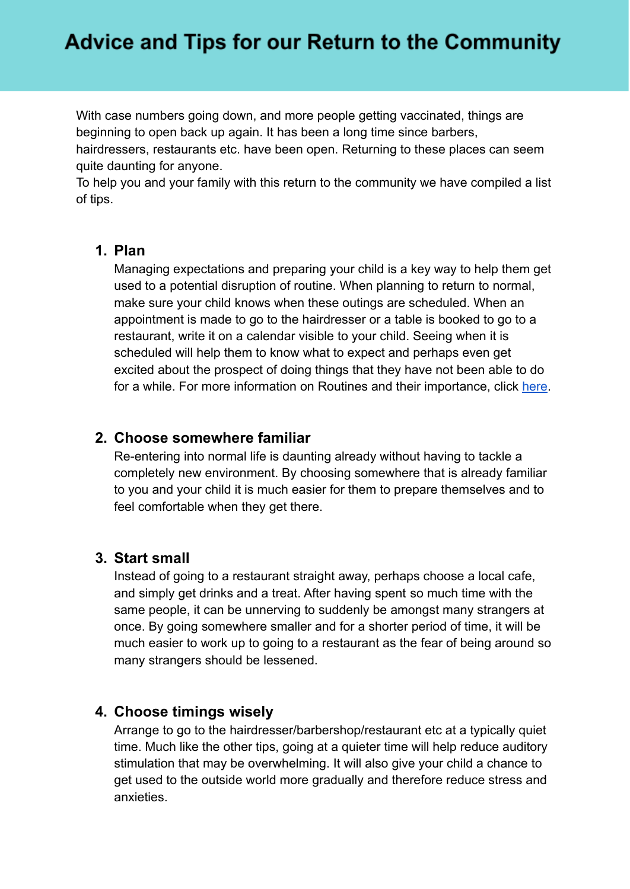# **Advice and Tips for our Return to the Community**

With case numbers going down, and more people getting vaccinated, things are beginning to open back up again. It has been a long time since barbers, hairdressers, restaurants etc. have been open. Returning to these places can seem quite daunting for anyone.

To help you and your family with this return to the community we have compiled a list of tips.

## **1. Plan**

Managing expectations and preparing your child is a key way to help them get used to a potential disruption of routine. When planning to return to normal, make sure your child knows when these outings are scheduled. When an appointment is made to go to the hairdresser or a table is booked to go to a restaurant, write it on a calendar visible to your child. Seeing when it is scheduled will help them to know what to expect and perhaps even get excited about the prospect of doing things that they have not been able to do for a while. For more information on Routines and their importance, click [here](https://autism-toolkit.ie/wp-content/uploads/2021/01/The-role-of-routine-inreducing-anxiety-creating-schedules.pdf).

## **2. Choose somewhere familiar**

Re-entering into normal life is daunting already without having to tackle a completely new environment. By choosing somewhere that is already familiar to you and your child it is much easier for them to prepare themselves and to feel comfortable when they get there.

#### **3. Start small**

Instead of going to a restaurant straight away, perhaps choose a local cafe, and simply get drinks and a treat. After having spent so much time with the same people, it can be unnerving to suddenly be amongst many strangers at once. By going somewhere smaller and for a shorter period of time, it will be much easier to work up to going to a restaurant as the fear of being around so many strangers should be lessened.

## **4. Choose timings wisely**

Arrange to go to the hairdresser/barbershop/restaurant etc at a typically quiet time. Much like the other tips, going at a quieter time will help reduce auditory stimulation that may be overwhelming. It will also give your child a chance to get used to the outside world more gradually and therefore reduce stress and anxieties.